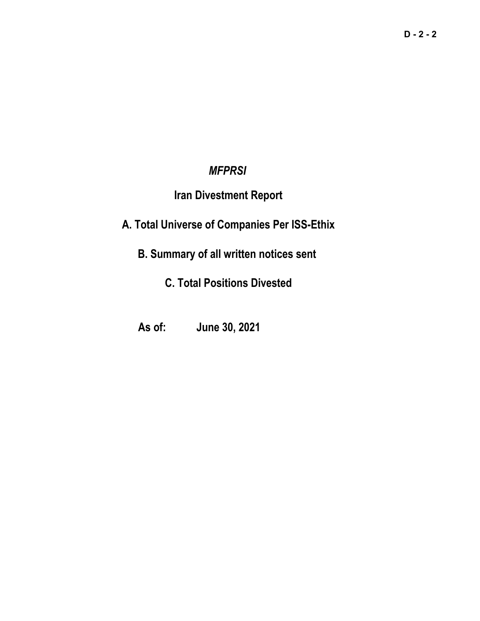## *MFPRSI*

## **Iran Divestment Report**

## **A. Total Universe of Companies Per ISS-Ethix**

# **B. Summary of all written notices sent**

## **C. Total Positions Divested**

## **As of: June 30, 2021**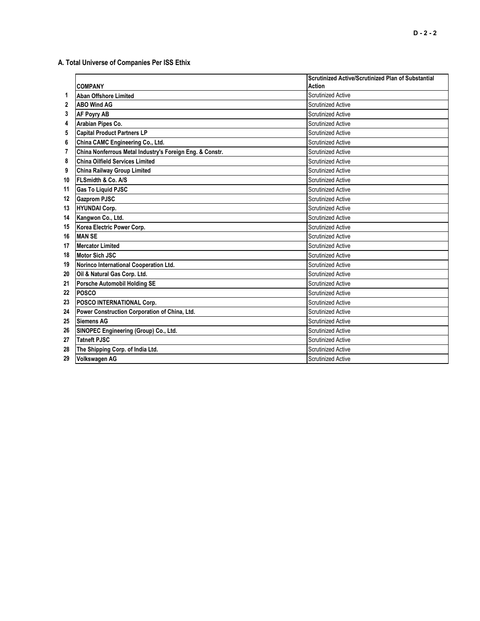**A. Total Universe of Companies Per ISS Ethix**

|    |                                                          | <b>Scrutinized Active/Scrutinized Plan of Substantial</b> |
|----|----------------------------------------------------------|-----------------------------------------------------------|
|    | <b>COMPANY</b>                                           | <b>Action</b>                                             |
| 1  | <b>Aban Offshore Limited</b>                             | <b>Scrutinized Active</b>                                 |
| 2  | <b>ABO Wind AG</b>                                       | <b>Scrutinized Active</b>                                 |
| 3  | <b>AF Poyry AB</b>                                       | <b>Scrutinized Active</b>                                 |
| 4  | Arabian Pipes Co.                                        | <b>Scrutinized Active</b>                                 |
| 5  | <b>Capital Product Partners LP</b>                       | <b>Scrutinized Active</b>                                 |
| 6  | China CAMC Engineering Co., Ltd.                         | <b>Scrutinized Active</b>                                 |
| 7  | China Nonferrous Metal Industry's Foreign Eng. & Constr. | <b>Scrutinized Active</b>                                 |
| 8  | <b>China Oilfield Services Limited</b>                   | <b>Scrutinized Active</b>                                 |
| 9  | <b>China Railway Group Limited</b>                       | <b>Scrutinized Active</b>                                 |
| 10 | FLSmidth & Co. A/S                                       | <b>Scrutinized Active</b>                                 |
| 11 | <b>Gas To Liquid PJSC</b>                                | <b>Scrutinized Active</b>                                 |
| 12 | <b>Gazprom PJSC</b>                                      | <b>Scrutinized Active</b>                                 |
| 13 | <b>HYUNDAI Corp.</b>                                     | <b>Scrutinized Active</b>                                 |
| 14 | Kangwon Co., Ltd.                                        | <b>Scrutinized Active</b>                                 |
| 15 | Korea Electric Power Corp.                               | <b>Scrutinized Active</b>                                 |
| 16 | <b>MAN SE</b>                                            | <b>Scrutinized Active</b>                                 |
| 17 | <b>Mercator Limited</b>                                  | <b>Scrutinized Active</b>                                 |
| 18 | Motor Sich JSC                                           | <b>Scrutinized Active</b>                                 |
| 19 | Norinco International Cooperation Ltd.                   | <b>Scrutinized Active</b>                                 |
| 20 | Oil & Natural Gas Corp. Ltd.                             | <b>Scrutinized Active</b>                                 |
| 21 | <b>Porsche Automobil Holding SE</b>                      | <b>Scrutinized Active</b>                                 |
| 22 | <b>POSCO</b>                                             | <b>Scrutinized Active</b>                                 |
| 23 | <b>POSCO INTERNATIONAL Corp.</b>                         | <b>Scrutinized Active</b>                                 |
| 24 | Power Construction Corporation of China, Ltd.            | <b>Scrutinized Active</b>                                 |
| 25 | <b>Siemens AG</b>                                        | <b>Scrutinized Active</b>                                 |
| 26 | SINOPEC Engineering (Group) Co., Ltd.                    | <b>Scrutinized Active</b>                                 |
| 27 | <b>Tatneft PJSC</b>                                      | <b>Scrutinized Active</b>                                 |
| 28 | The Shipping Corp. of India Ltd.                         | <b>Scrutinized Active</b>                                 |
| 29 | Volkswagen AG                                            | <b>Scrutinized Active</b>                                 |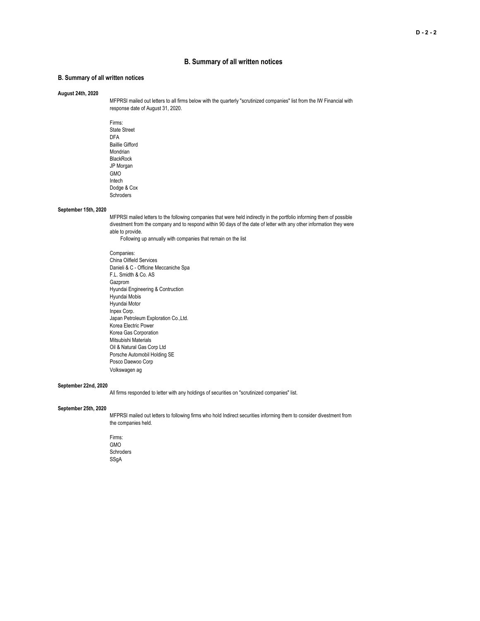### **B. Summary of all written notices**

### **B. Summary of all written notices**

#### **August 24th, 2020**

MFPRSI mailed out letters to all firms below with the quarterly "scrutinized companies" list from the IW Financial with response date of August 31, 2020.

Firms: State Street DFA Baillie Gifford Mondrian BlackRock JP Morgan GMO Intech Dodge & Cox **Schroders** 

#### **September 15th, 2020**

MFPRSI mailed letters to the following companies that were held indirectly in the portfolio informing them of possible divestment from the company and to respond within 90 days of the date of letter with any other information they were able to provide.

Following up annually with companies that remain on the list

Companies: China Oilfield Services Danieli & C - Officine Meccaniche Spa F.L. Smidth & Co. AS Gazprom Hyundai Engineering & Contruction Hyundai Mobis Hyundai Motor Inpex Corp. Japan Petroleum Exploration Co.,Ltd. Korea Electric Power Korea Gas Corporation Mitsubishi Materials Oil & Natural Gas Corp Ltd Porsche Automobil Holding SE Posco Daewoo Corp Volkswagen ag

#### **September 22nd, 2020**

All firms responded to letter with any holdings of securities on "scrutinized companies" list.

#### **September 25th, 2020**

MFPRSI mailed out letters to following firms who hold Indirect securities informing them to consider divestment from the companies held.

Firms: GMO Schroders SSgA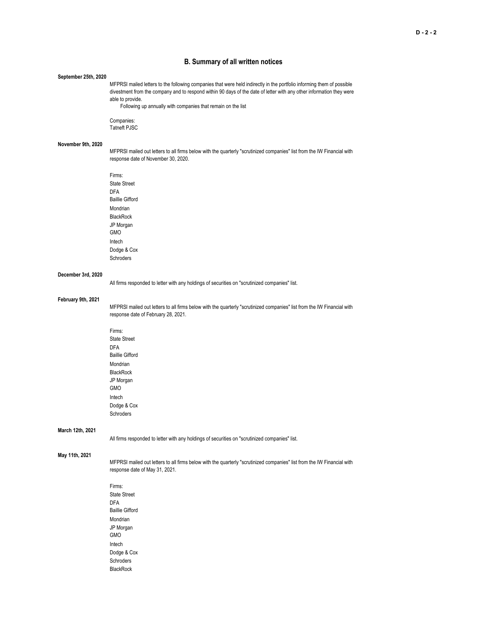### **B. Summary of all written notices**

#### **September 25th, 2020**

MFPRSI mailed letters to the following companies that were held indirectly in the portfolio informing them of possible divestment from the company and to respond within 90 days of the date of letter with any other information they were able to provide.

Following up annually with companies that remain on the list

Companies: Tatneft PJSC

#### **November 9th, 2020**

MFPRSI mailed out letters to all firms below with the quarterly "scrutinized companies" list from the IW Financial with response date of November 30, 2020.

Firms: State Street DFA Baillie Gifford Mondrian BlackRock JP Morgan GMO Intech Dodge & Cox Schroders

#### **December 3rd, 2020**

All firms responded to letter with any holdings of securities on "scrutinized companies" list.

#### **February 9th, 2021**

MFPRSI mailed out letters to all firms below with the quarterly "scrutinized companies" list from the IW Financial with response date of February 28, 2021.

Firms: State Street DFA Baillie Gifford Mondrian **BlackRock** JP Morgan GMO Intech Dodge & Cox Schroders

#### **March 12th, 2021**

All firms responded to letter with any holdings of securities on "scrutinized companies" list.

#### **May 11th, 2021**

MFPRSI mailed out letters to all firms below with the quarterly "scrutinized companies" list from the IW Financial with response date of May 31, 2021.

Firms: State Street DFA Baillie Gifford Mondrian JP Morgan GMO Intech Dodge & Cox Schroders BlackRock